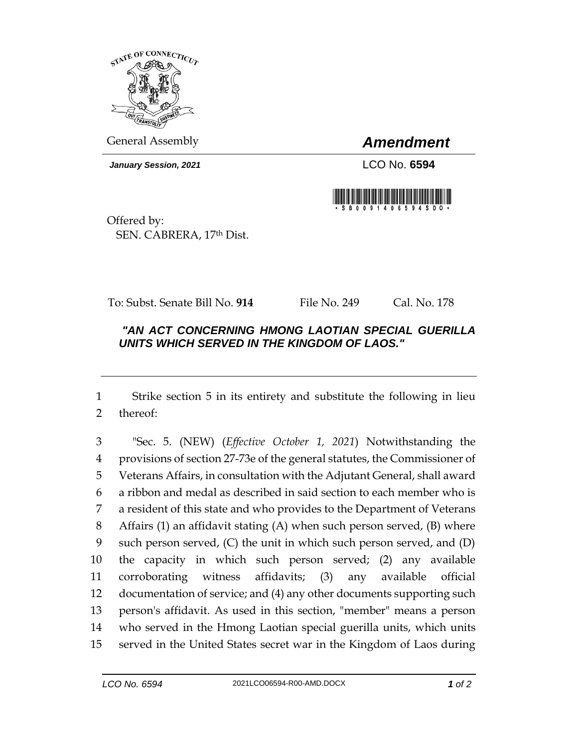

General Assembly *Amendment*

*January Session, 2021* LCO No. **6594**



Offered by: SEN. CABRERA, 17th Dist.

To: Subst. Senate Bill No. **914** File No. 249 Cal. No. 178

## *"AN ACT CONCERNING HMONG LAOTIAN SPECIAL GUERILLA UNITS WHICH SERVED IN THE KINGDOM OF LAOS."*

 Strike section 5 in its entirety and substitute the following in lieu thereof:

 "Sec. 5. (NEW) (*Effective October 1, 2021*) Notwithstanding the provisions of section 27-73e of the general statutes, the Commissioner of Veterans Affairs, in consultation with the Adjutant General, shall award a ribbon and medal as described in said section to each member who is a resident of this state and who provides to the Department of Veterans Affairs (1) an affidavit stating (A) when such person served, (B) where such person served, (C) the unit in which such person served, and (D) the capacity in which such person served; (2) any available corroborating witness affidavits; (3) any available official documentation of service; and (4) any other documents supporting such person's affidavit. As used in this section, "member" means a person who served in the Hmong Laotian special guerilla units, which units served in the United States secret war in the Kingdom of Laos during